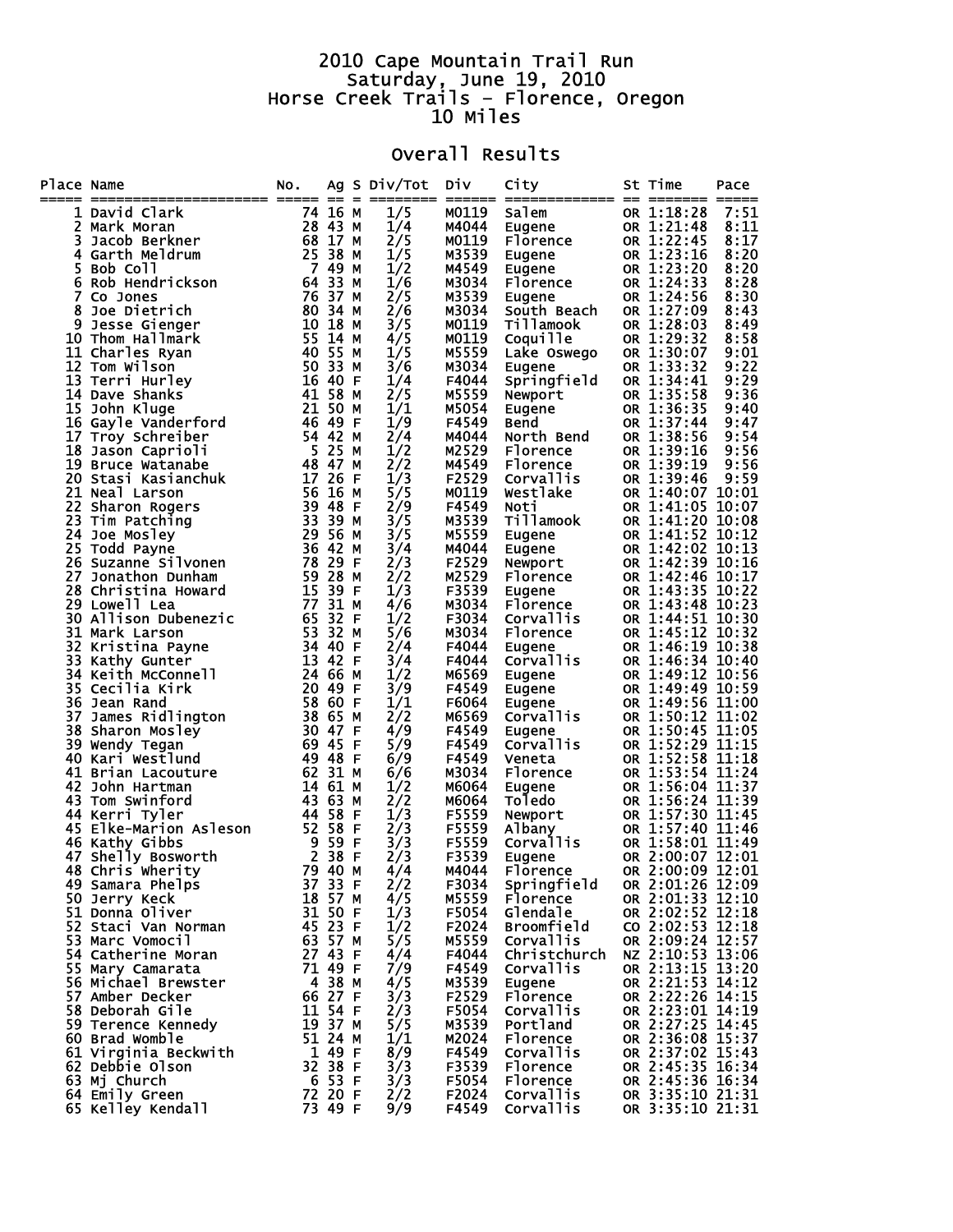## 2010 Cape Mountain Trail Run Saturday, June 19, 2010 Horse Creek Trails – Florence, Oregon 10 Miles

## Overall Results

| Place Name | ====================== ===== == =                                                                                                                                                                                                                        | NO.                                                |                               | Ag S Div/Tot<br>======== | DİV            | City<br>====== ============= == | St Time<br>======= =====             | Pace         |
|------------|----------------------------------------------------------------------------------------------------------------------------------------------------------------------------------------------------------------------------------------------------------|----------------------------------------------------|-------------------------------|--------------------------|----------------|---------------------------------|--------------------------------------|--------------|
| 1          |                                                                                                                                                                                                                                                          |                                                    |                               | 1/5                      | M0119          | Salem                           | OR 1:18:28                           | 7:51         |
| 2          |                                                                                                                                                                                                                                                          |                                                    |                               | 1/4                      | M4044          | Eugene                          | OR 1:21:48                           | 8:11         |
| 3          |                                                                                                                                                                                                                                                          |                                                    |                               | 2/5                      | M0119          | Florence                        | OR 1:22:45                           | 8:17         |
| 4          |                                                                                                                                                                                                                                                          |                                                    |                               | 1/5                      | M3539          | <b>Eugene</b>                   | OR 1:23:16                           | 8:20         |
| 5          |                                                                                                                                                                                                                                                          |                                                    |                               | 1/2                      | M4549          | Eugene                          | OR 1:23:20                           | 8:20         |
| 6          |                                                                                                                                                                                                                                                          |                                                    |                               | 1/6                      | M3034          | Florence                        | OR 1:24:33                           | 8:28         |
| 7          |                                                                                                                                                                                                                                                          | 76 37 M                                            |                               | 2/5                      | M3539          | Eugene                          | OR 1:24:56                           | 8:30         |
| 8          | Joe Dietrich                                                                                                                                                                                                                                             | 80 34 M                                            |                               | 2/6                      | M3034          | South Beach                     | OR 1:27:09                           | 8:43         |
|            |                                                                                                                                                                                                                                                          |                                                    |                               | 3/5                      | M0119          | Tillamook                       | OR 1:28:03                           | 8:49         |
|            |                                                                                                                                                                                                                                                          |                                                    |                               | 4/5                      | M0119          | Coquille                        | OR 1:29:32                           | 8:58         |
|            |                                                                                                                                                                                                                                                          |                                                    |                               | 1/5                      | M5559          | Lake Oswego                     | OR 1:30:07                           | 9:01         |
|            |                                                                                                                                                                                                                                                          |                                                    |                               | 3/6                      | M3034          | Eugene                          | OR 1:33:32                           | 9:22         |
|            |                                                                                                                                                                                                                                                          |                                                    |                               | 1/4                      | F4044          | Springfield                     | OR 1:34:41                           | 9:29<br>9:36 |
|            | 80 34 M<br>11 Charles Ryan<br>12 Tom Wilson<br>13 Terri Hurley<br>14 Dave Shanks<br>15 John Kluge<br>16 Gayle Vanderford<br>16 Gayle Vanderford<br>16 Gayle Vanderford<br>16 Gayle Vanderford<br>16 21 50 M<br>16 John Kluge<br>16 John Kluge<br>16 John |                                                    |                               | 2/5                      | M5559<br>M5054 | Newport                         | OR 1:35:58<br>OR 1:36:35             | 9:40         |
|            |                                                                                                                                                                                                                                                          |                                                    |                               | 1/1<br>1/9               | F4549          | Eugene<br>Bend                  | OR 1:37:44                           | 9:47         |
|            |                                                                                                                                                                                                                                                          |                                                    |                               | 2/4                      | M4044          | North Bend                      | OR 1:38:56                           | 9:54         |
|            |                                                                                                                                                                                                                                                          |                                                    |                               | 1/2                      | M2529          | Florence                        | OR 1:39:16                           | 9:56         |
|            | 19 Bruce Watanabe                                                                                                                                                                                                                                        |                                                    |                               | 2/2                      | M4549          | Florence                        | OR 1:39:19                           | 9:56         |
|            | 20 Stasi Kasianchuk                                                                                                                                                                                                                                      | 54 42 M<br>5 25 M<br>48 47 M<br>48 47 M<br>17 26 F |                               | 1/3                      | F2529          | Corvallis                       | OR 1:39:46                           | 9:59         |
|            |                                                                                                                                                                                                                                                          |                                                    |                               | 5/5                      | M0119          | Westlake                        | OR 1:40:07 10:01                     |              |
|            |                                                                                                                                                                                                                                                          |                                                    |                               | 2/9                      | F4549          | Noti                            | OR 1:41:05 10:07                     |              |
|            |                                                                                                                                                                                                                                                          |                                                    |                               | 3/5                      | M3539          | Tillamook                       | OR 1:41:20 10:08                     |              |
|            |                                                                                                                                                                                                                                                          |                                                    |                               | 3/5                      | M5559          | Eugene                          | OR 1:41:52 10:12                     |              |
|            |                                                                                                                                                                                                                                                          |                                                    |                               | 3/4                      | M4044          | Eugene                          | OR 1:42:02 10:13                     |              |
|            |                                                                                                                                                                                                                                                          |                                                    |                               | 2/3                      | F2529          | Newport                         | OR 1:42:39 10:16                     |              |
|            |                                                                                                                                                                                                                                                          |                                                    |                               | 2/2                      | M2529          | Florence                        | OR 1:42:46 10:17                     |              |
|            |                                                                                                                                                                                                                                                          |                                                    |                               | 1/3                      | F3539          | Eugene                          | OR 1:43:35 10:22                     |              |
|            |                                                                                                                                                                                                                                                          |                                                    |                               | 4/6                      | M3034          | Florence                        | OR 1:43:48 10:23                     |              |
|            |                                                                                                                                                                                                                                                          |                                                    |                               | 1/2<br>5/6               | F3034<br>M3034 | Corvallis                       | OR 1:44:51 10:30<br>OR 1:45:12 10:32 |              |
|            |                                                                                                                                                                                                                                                          |                                                    |                               | 2/4                      | F4044          | Florence<br>Eugene              | OR 1:46:19 10:38                     |              |
|            | 19 Bruce Watanabe<br>20 Stasi Kasianchuk<br>21 Neal Larson<br>22 Sharon Rogers<br>23 Tim Patching<br>24 Joe Mosley<br>25 Todd Payne<br>25 Todd Payne<br>25 Todd Payne<br>25 Todd Payne<br>26 Suzanne Silvonen<br>78 29 FM<br>27 Jonathon Dunham<br>28 Ch |                                                    |                               | 3/4                      | F4044          | Corvallis                       | OR 1:46:34 10:40                     |              |
|            |                                                                                                                                                                                                                                                          |                                                    |                               | 1/2                      | M6569          | Eugene                          | OR 1:49:12 10:56                     |              |
|            |                                                                                                                                                                                                                                                          |                                                    |                               | 3/9                      | F4549          | Eugene                          | OR 1:49:49 10:59                     |              |
|            |                                                                                                                                                                                                                                                          |                                                    |                               | 1/1                      | F6064          | Eugene                          | OR 1:49:56 11:00                     |              |
|            |                                                                                                                                                                                                                                                          |                                                    |                               | 2/2                      | M6569          | <b>Corvallis</b>                | OR 1:50:12 11:02                     |              |
|            |                                                                                                                                                                                                                                                          |                                                    |                               | 4/9                      | F4549          | Eugene                          | OR 1:50:45 11:05                     |              |
|            |                                                                                                                                                                                                                                                          |                                                    |                               | 5/9                      | F4549          | Corvallis                       | OR 1:52:29 11:15                     |              |
|            | 40 Kari Westlund                                                                                                                                                                                                                                         | 49 48 F                                            |                               | 6/9                      | F4549          | Veneta                          | OR 1:52:58 11:18                     |              |
|            | 41 Brian Lacouture                                                                                                                                                                                                                                       |                                                    | 62 31 M                       | 6/6                      | M3034          | Florence                        | OR 1:53:54 11:24                     |              |
|            | 42 John Hartman                                                                                                                                                                                                                                          | 14 61 M                                            |                               | 1/2                      | M6064          | Eugene                          | OR 1:56:04 11:37                     |              |
|            | 43 Tom Swinford                                                                                                                                                                                                                                          | 43 63 M<br>44 58 F                                 |                               | 2/2                      | M6064<br>F5559 | Toledo                          | OR 1:56:24 11:39<br>OR 1:57:30 11:45 |              |
|            | 44 Kerri Tyler<br>45 Elke-Marion Asleson                                                                                                                                                                                                                 |                                                    |                               | 1/3<br>2/3               | F5559          | Newport                         | OR 1:57:40 11:46                     |              |
|            | 46 Kathy Gibbs                                                                                                                                                                                                                                           | 501 52 58 F<br>- 9 59 F<br>- 2 38 F<br>- 70 40 M   |                               | 3/3                      | F5559          | Albany<br>Corvallis             | OR 1:58:01 11:49                     |              |
| 47         | Shelly Bosworth                                                                                                                                                                                                                                          |                                                    |                               | 2/3                      | F3539          | Eugene                          | OR 2:00:07 12:01                     |              |
|            | 48 Chris Wherity 79 40 M                                                                                                                                                                                                                                 |                                                    |                               | 4/4                      |                | <b>Florence</b>                 | OR 2:00:09 12:01                     |              |
|            | 49 Samara Phelps                                                                                                                                                                                                                                         |                                                    |                               | 2/2                      | M4044<br>F3034 | Springfield                     | OR 2:01:26 12:09                     |              |
|            | 50 Jerry Keck                                                                                                                                                                                                                                            |                                                    |                               | 4/5                      |                | M5559 Florence                  | OR 2:01:33 12:10                     |              |
|            | 51 Donna Oliver                                                                                                                                                                                                                                          |                                                    | 37 33 F<br>18 57 M<br>31 50 F | 1/3                      | F5054          | Glendale                        | OR 2:02:52 12:18                     |              |
|            | 52 Staci Van Norman                                                                                                                                                                                                                                      | 45 23 F                                            |                               | 1/2                      | F2024          | Broomfield                      | CO $2:02:53$ 12:18                   |              |
|            | 53 Marc Vomocil                                                                                                                                                                                                                                          | 63 57 M                                            |                               | 5/5                      | M5559          | Corvallis                       | OR 2:09:24 12:57                     |              |
|            | 54 Catherine Moran                                                                                                                                                                                                                                       | 27 43 F                                            |                               | 4/4                      | F4044          | Christchurch                    | NZ 2:10:53 13:06                     |              |
|            | 55 Mary Camarata                                                                                                                                                                                                                                         |                                                    | 71 49 F                       | 7/9                      | F4549          | Corvallis                       | OR 2:13:15 13:20                     |              |
|            | 56 Michael Brewster                                                                                                                                                                                                                                      | 4 38 M                                             |                               | 4/5                      | M3539          | Eugene                          | OR 2:21:53 14:12                     |              |
|            | 57 Amber Decker                                                                                                                                                                                                                                          | 66 27 F<br>11 54 F                                 |                               | 3/3                      | F2529          | Florence                        | OR 2:22:26 14:15                     |              |
|            | 58 Deborah Gile                                                                                                                                                                                                                                          |                                                    |                               | 2/3                      | F5054<br>M3539 | Corvallis                       | OR 2:23:01 14:19                     |              |
|            | 59 Terence Kennedy<br>60 Brad Womble                                                                                                                                                                                                                     | 51 24 M                                            | 19 37 M                       | 5/5<br>1/1               | M2024          | Portland<br>Florence            | OR 2:27:25 14:45<br>OR 2:36:08 15:37 |              |
|            | 61 Virginia Beckwith                                                                                                                                                                                                                                     | 1 49 F                                             |                               | 8/9                      | F4549          | Corvallis                       | OR 2:37:02 15:43                     |              |
|            | 62 Debbie Olson                                                                                                                                                                                                                                          |                                                    | 32 38 F                       | 3/3                      | F3539          | Florence                        | OR 2:45:35 16:34                     |              |
|            | 63 Mj Church                                                                                                                                                                                                                                             | 6 53 F                                             |                               | 3/3                      | F5054          | Florence                        | OR 2:45:36 16:34                     |              |
|            | 64 Emily Green                                                                                                                                                                                                                                           | 72 20 F                                            |                               | 2/2                      | F2024          | Corvallis                       | OR 3:35:10 21:31                     |              |
|            | 65 Kelley Kendall                                                                                                                                                                                                                                        |                                                    | 73 49 F                       | 9/9                      | F4549          | Corvallis                       | OR 3:35:10 21:31                     |              |